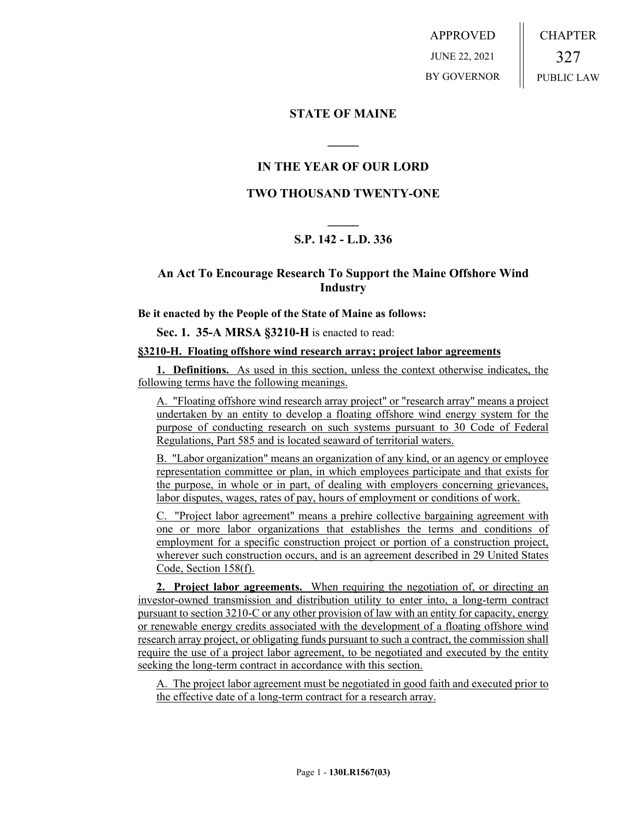APPROVED JUNE 22, 2021 BY GOVERNOR CHAPTER 327 PUBLIC LAW

### **STATE OF MAINE**

## **IN THE YEAR OF OUR LORD**

**\_\_\_\_\_**

## **TWO THOUSAND TWENTY-ONE**

# **\_\_\_\_\_ S.P. 142 - L.D. 336**

## **An Act To Encourage Research To Support the Maine Offshore Wind Industry**

#### **Be it enacted by the People of the State of Maine as follows:**

**Sec. 1. 35-A MRSA §3210-H** is enacted to read:

### **§3210-H. Floating offshore wind research array; project labor agreements**

**1. Definitions.** As used in this section, unless the context otherwise indicates, the following terms have the following meanings.

A. "Floating offshore wind research array project" or "research array" means a project undertaken by an entity to develop a floating offshore wind energy system for the purpose of conducting research on such systems pursuant to 30 Code of Federal Regulations, Part 585 and is located seaward of territorial waters.

B. "Labor organization" means an organization of any kind, or an agency or employee representation committee or plan, in which employees participate and that exists for the purpose, in whole or in part, of dealing with employers concerning grievances, labor disputes, wages, rates of pay, hours of employment or conditions of work.

C. "Project labor agreement" means a prehire collective bargaining agreement with one or more labor organizations that establishes the terms and conditions of employment for a specific construction project or portion of a construction project, wherever such construction occurs, and is an agreement described in 29 United States Code, Section 158(f).

**2. Project labor agreements.** When requiring the negotiation of, or directing an investor-owned transmission and distribution utility to enter into, a long-term contract pursuant to section 3210-C or any other provision of law with an entity for capacity, energy or renewable energy credits associated with the development of a floating offshore wind research array project, or obligating funds pursuant to such a contract, the commission shall require the use of a project labor agreement, to be negotiated and executed by the entity seeking the long-term contract in accordance with this section.

A. The project labor agreement must be negotiated in good faith and executed prior to the effective date of a long-term contract for a research array.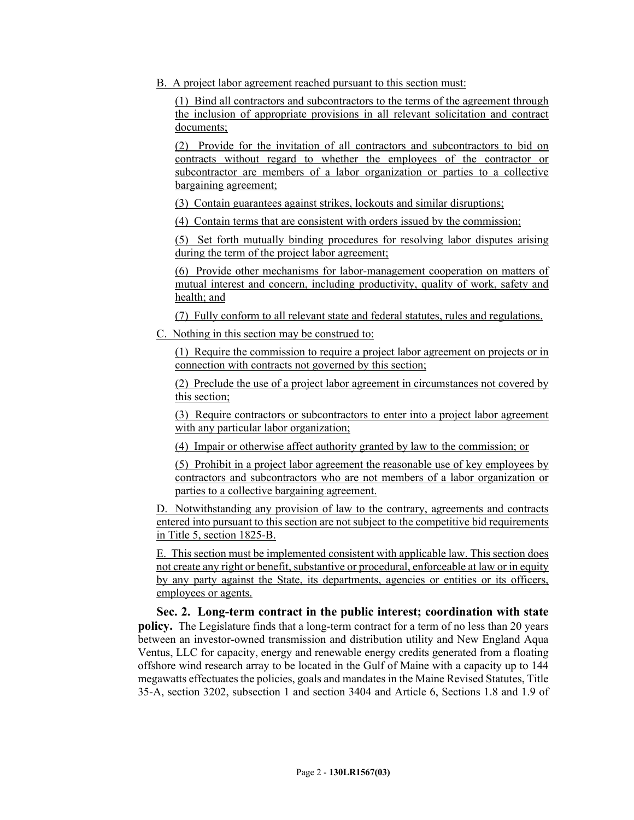B. A project labor agreement reached pursuant to this section must:

(1) Bind all contractors and subcontractors to the terms of the agreement through the inclusion of appropriate provisions in all relevant solicitation and contract documents;

(2) Provide for the invitation of all contractors and subcontractors to bid on contracts without regard to whether the employees of the contractor or subcontractor are members of a labor organization or parties to a collective bargaining agreement;

(3) Contain guarantees against strikes, lockouts and similar disruptions;

(4) Contain terms that are consistent with orders issued by the commission;

(5) Set forth mutually binding procedures for resolving labor disputes arising during the term of the project labor agreement;

(6) Provide other mechanisms for labor-management cooperation on matters of mutual interest and concern, including productivity, quality of work, safety and health; and

(7) Fully conform to all relevant state and federal statutes, rules and regulations.

C. Nothing in this section may be construed to:

(1) Require the commission to require a project labor agreement on projects or in connection with contracts not governed by this section;

(2) Preclude the use of a project labor agreement in circumstances not covered by this section;

(3) Require contractors or subcontractors to enter into a project labor agreement with any particular labor organization;

(4) Impair or otherwise affect authority granted by law to the commission; or

(5) Prohibit in a project labor agreement the reasonable use of key employees by contractors and subcontractors who are not members of a labor organization or parties to a collective bargaining agreement.

D. Notwithstanding any provision of law to the contrary, agreements and contracts entered into pursuant to this section are not subject to the competitive bid requirements in Title 5, section 1825-B.

E. This section must be implemented consistent with applicable law. This section does not create any right or benefit, substantive or procedural, enforceable at law or in equity by any party against the State, its departments, agencies or entities or its officers, employees or agents.

**Sec. 2. Long-term contract in the public interest; coordination with state policy.** The Legislature finds that a long-term contract for a term of no less than 20 years between an investor-owned transmission and distribution utility and New England Aqua Ventus, LLC for capacity, energy and renewable energy credits generated from a floating offshore wind research array to be located in the Gulf of Maine with a capacity up to 144 megawatts effectuates the policies, goals and mandates in the Maine Revised Statutes, Title 35-A, section 3202, subsection 1 and section 3404 and Article 6, Sections 1.8 and 1.9 of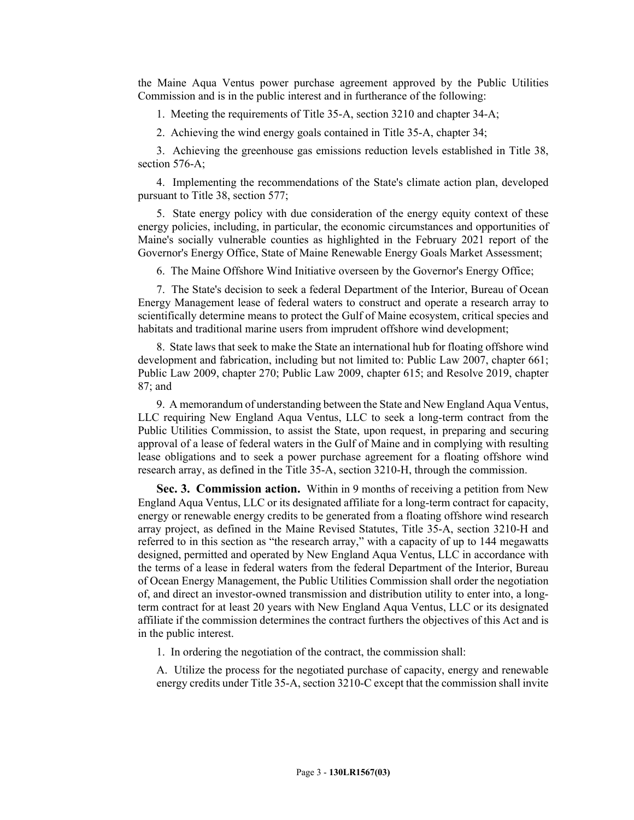the Maine Aqua Ventus power purchase agreement approved by the Public Utilities Commission and is in the public interest and in furtherance of the following:

1. Meeting the requirements of Title 35-A, section 3210 and chapter 34-A;

2. Achieving the wind energy goals contained in Title 35-A, chapter 34;

3. Achieving the greenhouse gas emissions reduction levels established in Title 38, section 576-A;

4. Implementing the recommendations of the State's climate action plan, developed pursuant to Title 38, section 577;

5. State energy policy with due consideration of the energy equity context of these energy policies, including, in particular, the economic circumstances and opportunities of Maine's socially vulnerable counties as highlighted in the February 2021 report of the Governor's Energy Office, State of Maine Renewable Energy Goals Market Assessment;

6. The Maine Offshore Wind Initiative overseen by the Governor's Energy Office;

7. The State's decision to seek a federal Department of the Interior, Bureau of Ocean Energy Management lease of federal waters to construct and operate a research array to scientifically determine means to protect the Gulf of Maine ecosystem, critical species and habitats and traditional marine users from imprudent offshore wind development;

8. State laws that seek to make the State an international hub for floating offshore wind development and fabrication, including but not limited to: Public Law 2007, chapter 661; Public Law 2009, chapter 270; Public Law 2009, chapter 615; and Resolve 2019, chapter 87; and

9. A memorandum of understanding between the State and New England Aqua Ventus, LLC requiring New England Aqua Ventus, LLC to seek a long-term contract from the Public Utilities Commission, to assist the State, upon request, in preparing and securing approval of a lease of federal waters in the Gulf of Maine and in complying with resulting lease obligations and to seek a power purchase agreement for a floating offshore wind research array, as defined in the Title 35-A, section 3210-H, through the commission.

**Sec. 3. Commission action.** Within in 9 months of receiving a petition from New England Aqua Ventus, LLC or its designated affiliate for a long-term contract for capacity, energy or renewable energy credits to be generated from a floating offshore wind research array project, as defined in the Maine Revised Statutes, Title 35-A, section 3210-H and referred to in this section as "the research array," with a capacity of up to 144 megawatts designed, permitted and operated by New England Aqua Ventus, LLC in accordance with the terms of a lease in federal waters from the federal Department of the Interior, Bureau of Ocean Energy Management, the Public Utilities Commission shall order the negotiation of, and direct an investor-owned transmission and distribution utility to enter into, a longterm contract for at least 20 years with New England Aqua Ventus, LLC or its designated affiliate if the commission determines the contract furthers the objectives of this Act and is in the public interest.

1. In ordering the negotiation of the contract, the commission shall:

A. Utilize the process for the negotiated purchase of capacity, energy and renewable energy credits under Title 35-A, section 3210-C except that the commission shall invite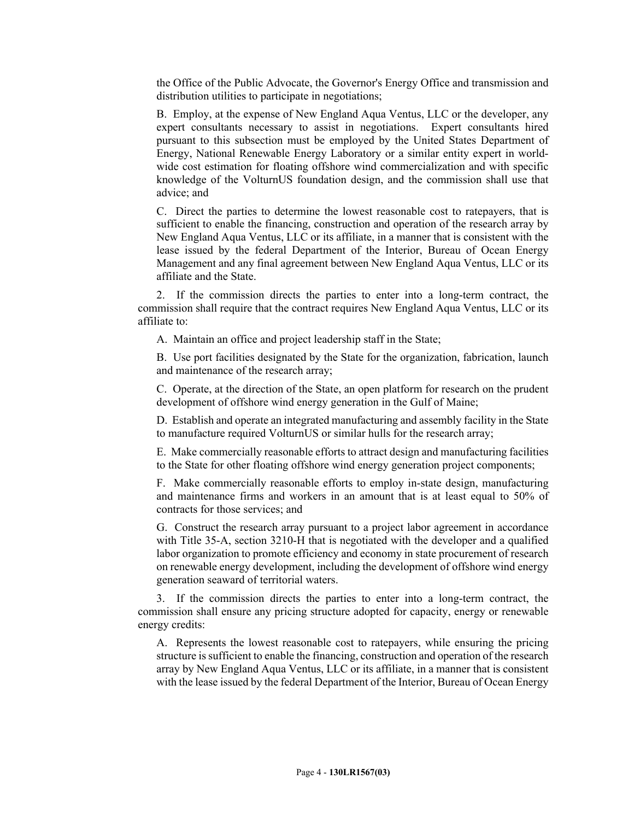the Office of the Public Advocate, the Governor's Energy Office and transmission and distribution utilities to participate in negotiations;

B. Employ, at the expense of New England Aqua Ventus, LLC or the developer, any expert consultants necessary to assist in negotiations. Expert consultants hired pursuant to this subsection must be employed by the United States Department of Energy, National Renewable Energy Laboratory or a similar entity expert in worldwide cost estimation for floating offshore wind commercialization and with specific knowledge of the VolturnUS foundation design, and the commission shall use that advice; and

C. Direct the parties to determine the lowest reasonable cost to ratepayers, that is sufficient to enable the financing, construction and operation of the research array by New England Aqua Ventus, LLC or its affiliate, in a manner that is consistent with the lease issued by the federal Department of the Interior, Bureau of Ocean Energy Management and any final agreement between New England Aqua Ventus, LLC or its affiliate and the State.

2. If the commission directs the parties to enter into a long-term contract, the commission shall require that the contract requires New England Aqua Ventus, LLC or its affiliate to:

A. Maintain an office and project leadership staff in the State;

B. Use port facilities designated by the State for the organization, fabrication, launch and maintenance of the research array;

C. Operate, at the direction of the State, an open platform for research on the prudent development of offshore wind energy generation in the Gulf of Maine;

D. Establish and operate an integrated manufacturing and assembly facility in the State to manufacture required VolturnUS or similar hulls for the research array;

E. Make commercially reasonable efforts to attract design and manufacturing facilities to the State for other floating offshore wind energy generation project components;

F. Make commercially reasonable efforts to employ in-state design, manufacturing and maintenance firms and workers in an amount that is at least equal to 50% of contracts for those services; and

G. Construct the research array pursuant to a project labor agreement in accordance with Title 35-A, section 3210-H that is negotiated with the developer and a qualified labor organization to promote efficiency and economy in state procurement of research on renewable energy development, including the development of offshore wind energy generation seaward of territorial waters.

3. If the commission directs the parties to enter into a long-term contract, the commission shall ensure any pricing structure adopted for capacity, energy or renewable energy credits:

A. Represents the lowest reasonable cost to ratepayers, while ensuring the pricing structure is sufficient to enable the financing, construction and operation of the research array by New England Aqua Ventus, LLC or its affiliate, in a manner that is consistent with the lease issued by the federal Department of the Interior, Bureau of Ocean Energy